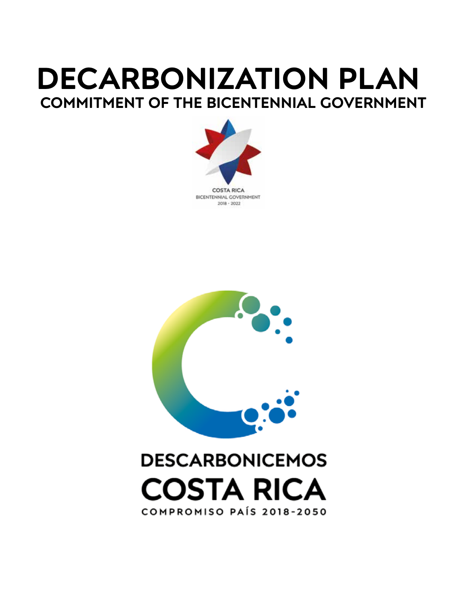# **Decarbonization Plan Commitment of the Bicentennial Government**





# **DESCARBONICEMOS COSTA RICA** COMPROMISO PAÍS 2018-2050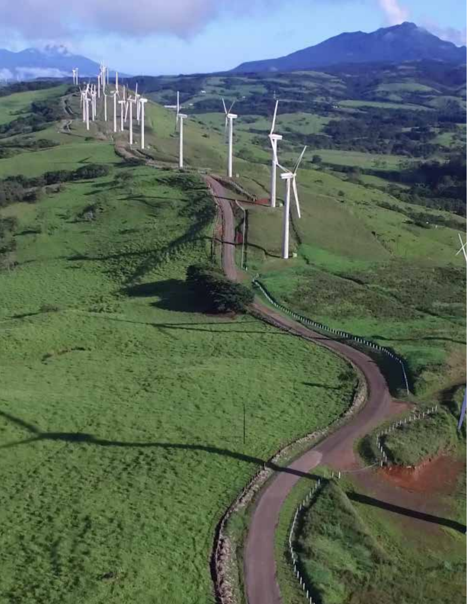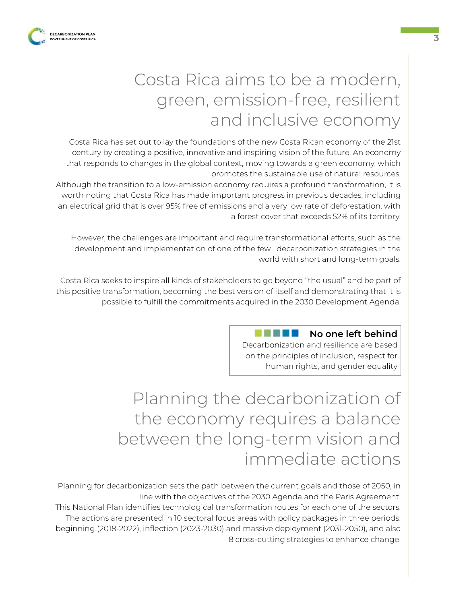

## Costa Rica aims to be a modern, green, emission-free, resilient and inclusive economy

Costa Rica has set out to lay the foundations of the new Costa Rican economy of the 21st century by creating a positive, innovative and inspiring vision of the future. An economy that responds to changes in the global context, moving towards a green economy, which promotes the sustainable use of natural resources.

Although the transition to a low-emission economy requires a profound transformation, it is worth noting that Costa Rica has made important progress in previous decades, including an electrical grid that is over 95% free of emissions and a very low rate of deforestation, with a forest cover that exceeds 52% of its territory.

However, the challenges are important and require transformational efforts, such as the development and implementation of one of the few decarbonization strategies in the world with short and long-term goals.

Costa Rica seeks to inspire all kinds of stakeholders to go beyond "the usual" and be part of this positive transformation, becoming the best version of itself and demonstrating that it is possible to fulfill the commitments acquired in the 2030 Development Agenda.

#### **No one left behind**

Decarbonization and resilience are based on the principles of inclusion, respect for human rights, and gender equality

### Planning the decarbonization of the economy requires a balance between the long-term vision and immediate actions

a kacamatan ing Kabupatèn Kabupatèn

Planning for decarbonization sets the path between the current goals and those of 2050, in line with the objectives of the 2030 Agenda and the Paris Agreement. This National Plan identifies technological transformation routes for each one of the sectors. The actions are presented in 10 sectoral focus areas with policy packages in three periods: beginning (2018-2022), inflection (2023-2030) and massive deployment (2031-2050), and also 8 cross-cutting strategies to enhance change.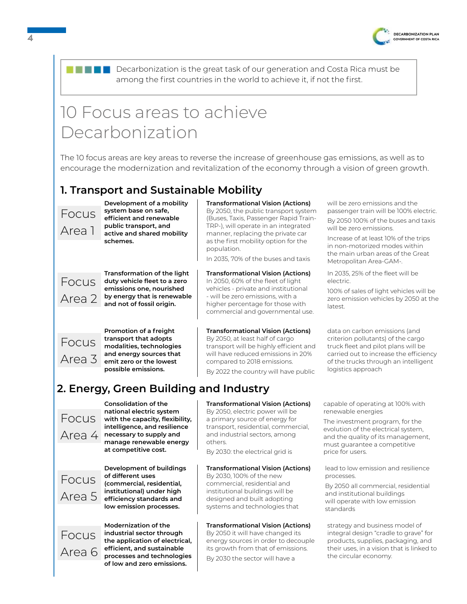

| Decarbonization is the great task of our generation and Costa Rica must be<br>among the first countries in the world to achieve it, if not the first.                                                                                           |                                                                                                                                                                                      |                                                                                                                                                                                                                                                                                                      |                                                                                                                                                                                                                                                                                      |  |  |
|-------------------------------------------------------------------------------------------------------------------------------------------------------------------------------------------------------------------------------------------------|--------------------------------------------------------------------------------------------------------------------------------------------------------------------------------------|------------------------------------------------------------------------------------------------------------------------------------------------------------------------------------------------------------------------------------------------------------------------------------------------------|--------------------------------------------------------------------------------------------------------------------------------------------------------------------------------------------------------------------------------------------------------------------------------------|--|--|
|                                                                                                                                                                                                                                                 | 10 Focus areas to achieve<br>Decarbonization                                                                                                                                         |                                                                                                                                                                                                                                                                                                      |                                                                                                                                                                                                                                                                                      |  |  |
| The 10 focus areas are key areas to reverse the increase of greenhouse gas emissions, as well as to<br>encourage the modernization and revitalization of the economy through a vision of green growth.<br>1. Transport and Sustainable Mobility |                                                                                                                                                                                      |                                                                                                                                                                                                                                                                                                      |                                                                                                                                                                                                                                                                                      |  |  |
| Focus<br>Area 1                                                                                                                                                                                                                                 | Development of a mobility<br>system base on safe,<br>efficient and renewable<br>public transport, and<br>active and shared mobility<br>schemes.                                      | <b>Transformational Vision (Actions)</b><br>By 2050, the public transport system<br>(Buses, Taxis, Passenger Rapid Train-<br>TRP-), will operate in an integrated<br>manner, replacing the private car<br>as the first mobility option for the<br>population.<br>In 2035, 70% of the buses and taxis | will be zero emissions and the<br>passenger train will be 100% electric.<br>By 2050 100% of the buses and taxis<br>will be zero emissions.<br>Increase of at least 10% of the trips<br>in non-motorized modes within<br>the main urban areas of the Great<br>Metropolitan Area-GAM-. |  |  |
| <b>Focus</b><br>Area 2                                                                                                                                                                                                                          | Transformation of the light<br>duty vehicle fleet to a zero<br>emissions one, nourished<br>by energy that is renewable<br>and not of fossil origin.                                  | <b>Transformational Vision (Actions)</b><br>In 2050, 60% of the fleet of light<br>vehicles - private and institutional<br>- will be zero emissions, with a<br>higher percentage for those with<br>commercial and governmental use.                                                                   | In 2035, 25% of the fleet will be<br>electric.<br>100% of sales of light vehicles will be<br>zero emission vehicles by 2050 at the<br>latest.                                                                                                                                        |  |  |
| Focus<br>Area 3                                                                                                                                                                                                                                 | Promotion of a freight<br>transport that adopts<br>modalities, technologies<br>and energy sources that<br>emit zero or the lowest<br>possible emissions.                             | <b>Transformational Vision (Actions)</b><br>By 2050, at least half of cargo<br>transport will be highly efficient and<br>will have reduced emissions in 20%<br>compared to 2018 emissions.<br>By 2022 the country will have public                                                                   | data on carbon emissions (and<br>criterion pollutants) of the cargo<br>truck fleet and pilot plans will be<br>carried out to increase the efficiency<br>of the trucks through an intelligent<br>logistics approach                                                                   |  |  |
| 2. Energy, Green Building and Industry<br><b>Consolidation of the</b><br><b>Transformational Vision (Actions)</b><br>capable of operating at 100% with                                                                                          |                                                                                                                                                                                      |                                                                                                                                                                                                                                                                                                      |                                                                                                                                                                                                                                                                                      |  |  |
| Focus<br>Area 4                                                                                                                                                                                                                                 | national electric system<br>with the capacity, flexibility,<br>intelligence, and resilience<br>necessary to supply and<br>manage renewable energy<br>at competitive cost.            | By 2050, electric power will be<br>a primary source of energy for<br>transport, residential, commercial,<br>and industrial sectors, among<br>others.<br>By 2030: the electrical grid is                                                                                                              | renewable energies<br>The investment program, for the<br>evolution of the electrical system,<br>and the quality of its management,<br>must guarantee a competitive<br>price for users.                                                                                               |  |  |
| Focus<br>Area <sub>5</sub>                                                                                                                                                                                                                      | Development of buildings<br>of different uses<br>(commercial, residential,<br>institutional) under high<br>efficiency standards and<br>low emission processes.                       | <b>Transformational Vision (Actions)</b><br>By 2030, 100% of the new<br>commercial, residential and<br>institutional buildings will be<br>designed and built adopting<br>systems and technologies that                                                                                               | lead to low emission and resilience<br>processes.<br>By 2050 all commercial, residential<br>and institutional buildings<br>will operate with low emission<br>standards                                                                                                               |  |  |
| Focus<br>Area <sub>6</sub>                                                                                                                                                                                                                      | <b>Modernization of the</b><br>industrial sector through<br>the application of electrical,<br>efficient, and sustainable<br>processes and technologies<br>of low and zero emissions. | <b>Transformational Vision (Actions)</b><br>By 2050 it will have changed its<br>energy sources in order to decouple<br>its growth from that of emissions.<br>By 2030 the sector will have a                                                                                                          | strategy and business model of<br>integral design "cradle to grave" for<br>products, supplies, packaging, and<br>their uses, in a vision that is linked to<br>the circular economy.                                                                                                  |  |  |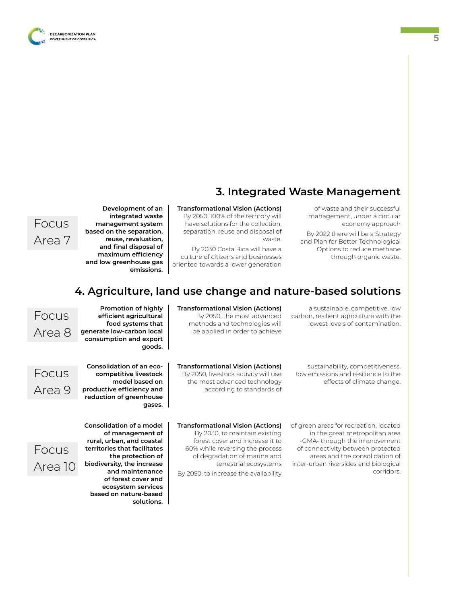

Focus

Area 7

### **3. Integrated Waste Management**

of waste and their successful management, under a circular economy approach

By 2022 there will be a Strategy and Plan for Better Technological Options to reduce methane through organic waste.

**Transformational Vision (Actions)** By 2050, 100% of the territory will have solutions for the collection, separation, reuse and disposal of waste.

By 2030 Costa Rica will have a culture of citizens and businesses oriented towards a lower generation

**Development of an integrated waste management system based on the separation, reuse, revaluation, and final disposal of maximum efficiency and low greenhouse gas emissions.**

### **4. Agriculture, land use change and nature-based solutions**

| Focus<br>Area 8  | <b>Promotion of highly</b><br>efficient agricultural<br>food systems that<br>generate low-carbon local<br>consumption and export<br>goods.                                                                                                                          | <b>Transformational Vision (Actions)</b><br>By 2050, the most advanced<br>methods and technologies will<br>be applied in order to achieve                                                                                                          | a sustainable, competitive, low<br>carbon, resilient agriculture with the<br>lowest levels of contamination.                                                                                                                           |
|------------------|---------------------------------------------------------------------------------------------------------------------------------------------------------------------------------------------------------------------------------------------------------------------|----------------------------------------------------------------------------------------------------------------------------------------------------------------------------------------------------------------------------------------------------|----------------------------------------------------------------------------------------------------------------------------------------------------------------------------------------------------------------------------------------|
| Focus<br>Area 9  | Consolidation of an eco-<br>competitive livestock<br>model based on<br>productive efficiency and<br>reduction of greenhouse<br>gases.                                                                                                                               | <b>Transformational Vision (Actions)</b><br>By 2050, livestock activity will use<br>the most advanced technology<br>according to standards of                                                                                                      | sustainability, competitiveness,<br>low emissions and resilience to the<br>effects of climate change.                                                                                                                                  |
| Focus<br>Area 10 | Consolidation of a model<br>of management of<br>rural, urban, and coastal<br>territories that facilitates<br>the protection of<br>biodiversity, the increase<br>and maintenance<br>of forest cover and<br>ecosystem services<br>based on nature-based<br>solutions. | <b>Transformational Vision (Actions)</b><br>By 2030, to maintain existing<br>forest cover and increase it to<br>60% while reversing the process<br>of degradation of marine and<br>terrestrial ecosystems<br>By 2050, to increase the availability | of green areas for recreation, located<br>in the great metropolitan area<br>-GMA-through the improvement<br>of connectivity between protected<br>areas and the consolidation of<br>inter-urban riversides and biological<br>corridors. |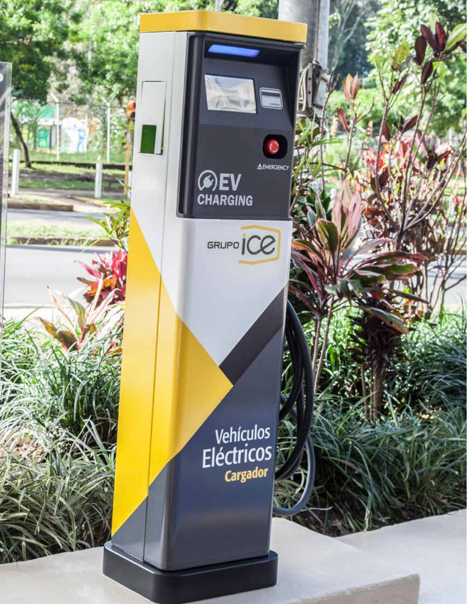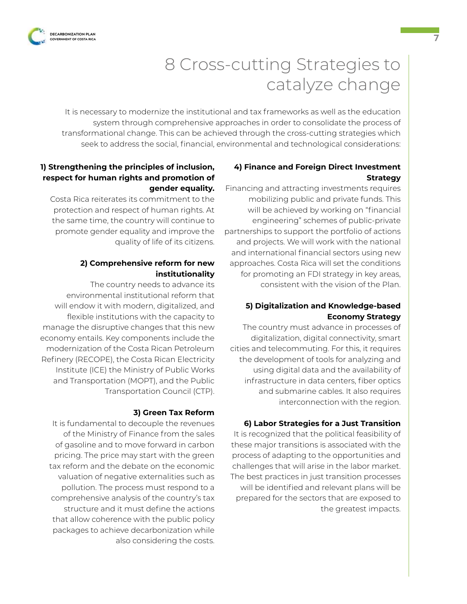

### 8 Cross-cutting Strategies to catalyze change

It is necessary to modernize the institutional and tax frameworks as well as the education system through comprehensive approaches in order to consolidate the process of transformational change. This can be achieved through the cross-cutting strategies which seek to address the social, financial, environmental and technological considerations:

#### **4) Finance and Foreign Direct Investment Strategy**

Financing and attracting investments requires mobilizing public and private funds. This will be achieved by working on "financial engineering" schemes of public-private partnerships to support the portfolio of actions and projects. We will work with the national and international financial sectors using new approaches. Costa Rica will set the conditions for promoting an FDI strategy in key areas, consistent with the vision of the Plan.

#### **5) Digitalization and Knowledge-based Economy Strategy**

The country must advance in processes of digitalization, digital connectivity, smart cities and telecommuting. For this, it requires the development of tools for analyzing and using digital data and the availability of infrastructure in data centers, fiber optics and submarine cables. It also requires interconnection with the region.

#### **6) Labor Strategies for a Just Transition**

It is recognized that the political feasibility of these major transitions is associated with the process of adapting to the opportunities and challenges that will arise in the labor market. The best practices in just transition processes will be identified and relevant plans will be prepared for the sectors that are exposed to the greatest impacts.

#### **1) Strengthening the principles of inclusion, respect for human rights and promotion of gender equality.**

Costa Rica reiterates its commitment to the protection and respect of human rights. At the same time, the country will continue to promote gender equality and improve the quality of life of its citizens.

#### **2) Comprehensive reform for new institutionality**

 The country needs to advance its environmental institutional reform that will endow it with modern, digitalized, and flexible institutions with the capacity to manage the disruptive changes that this new economy entails. Key components include the modernization of the Costa Rican Petroleum Refinery (RECOPE), the Costa Rican Electricity Institute (ICE) the Ministry of Public Works and Transportation (MOPT), and the Public Transportation Council (CTP).

#### **3) Green Tax Reform**

It is fundamental to decouple the revenues of the Ministry of Finance from the sales of gasoline and to move forward in carbon pricing. The price may start with the green tax reform and the debate on the economic valuation of negative externalities such as pollution. The process must respond to a comprehensive analysis of the country's tax structure and it must define the actions that allow coherence with the public policy packages to achieve decarbonization while also considering the costs.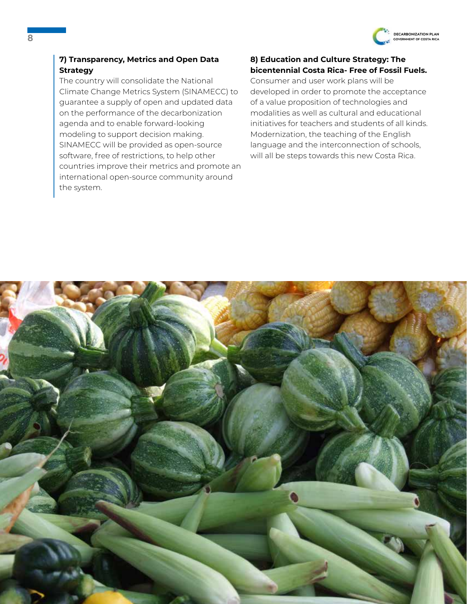

#### **7) Transparency, Metrics and Open Data Strategy**

The country will consolidate the National Climate Change Metrics System (SINAMECC) to guarantee a supply of open and updated data on the performance of the decarbonization agenda and to enable forward-looking modeling to support decision making. SINAMECC will be provided as open-source software, free of restrictions, to help other countries improve their metrics and promote an international open-source community around the system.

#### **8) Education and Culture Strategy: The bicentennial Costa Rica- Free of Fossil Fuels.**

Consumer and user work plans will be developed in order to promote the acceptance of a value proposition of technologies and modalities as well as cultural and educational initiatives for teachers and students of all kinds. Modernization, the teaching of the English language and the interconnection of schools, will all be steps towards this new Costa Rica.

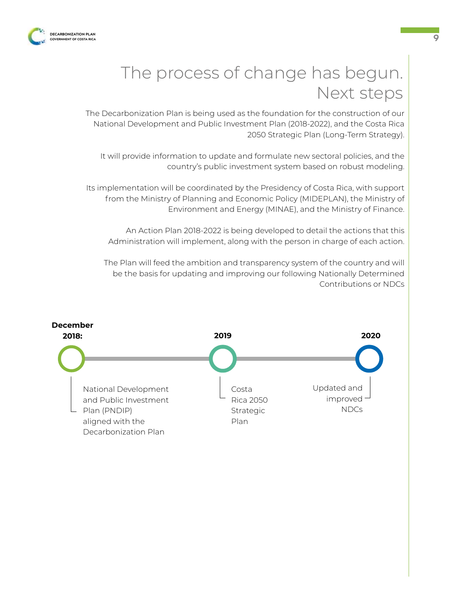

## The process of change has begun. Next steps

The Decarbonization Plan is being used as the foundation for the construction of our National Development and Public Investment Plan (2018-2022), and the Costa Rica 2050 Strategic Plan (Long-Term Strategy).

It will provide information to update and formulate new sectoral policies, and the country's public investment system based on robust modeling.

Its implementation will be coordinated by the Presidency of Costa Rica, with support from the Ministry of Planning and Economic Policy (MIDEPLAN), the Ministry of Environment and Energy (MINAE), and the Ministry of Finance.

 An Action Plan 2018-2022 is being developed to detail the actions that this Administration will implement, along with the person in charge of each action.

The Plan will feed the ambition and transparency system of the country and will be the basis for updating and improving our following Nationally Determined Contributions or NDCs

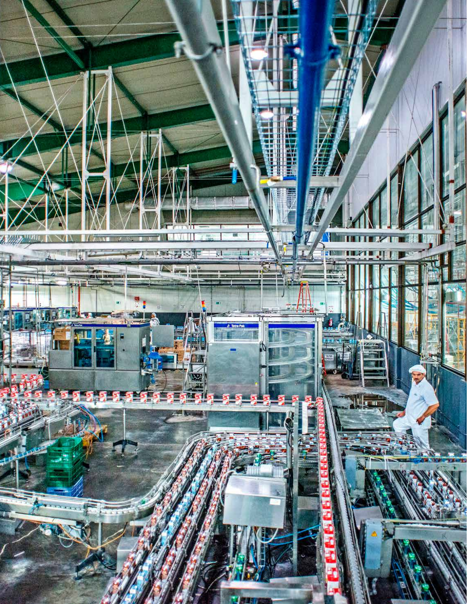